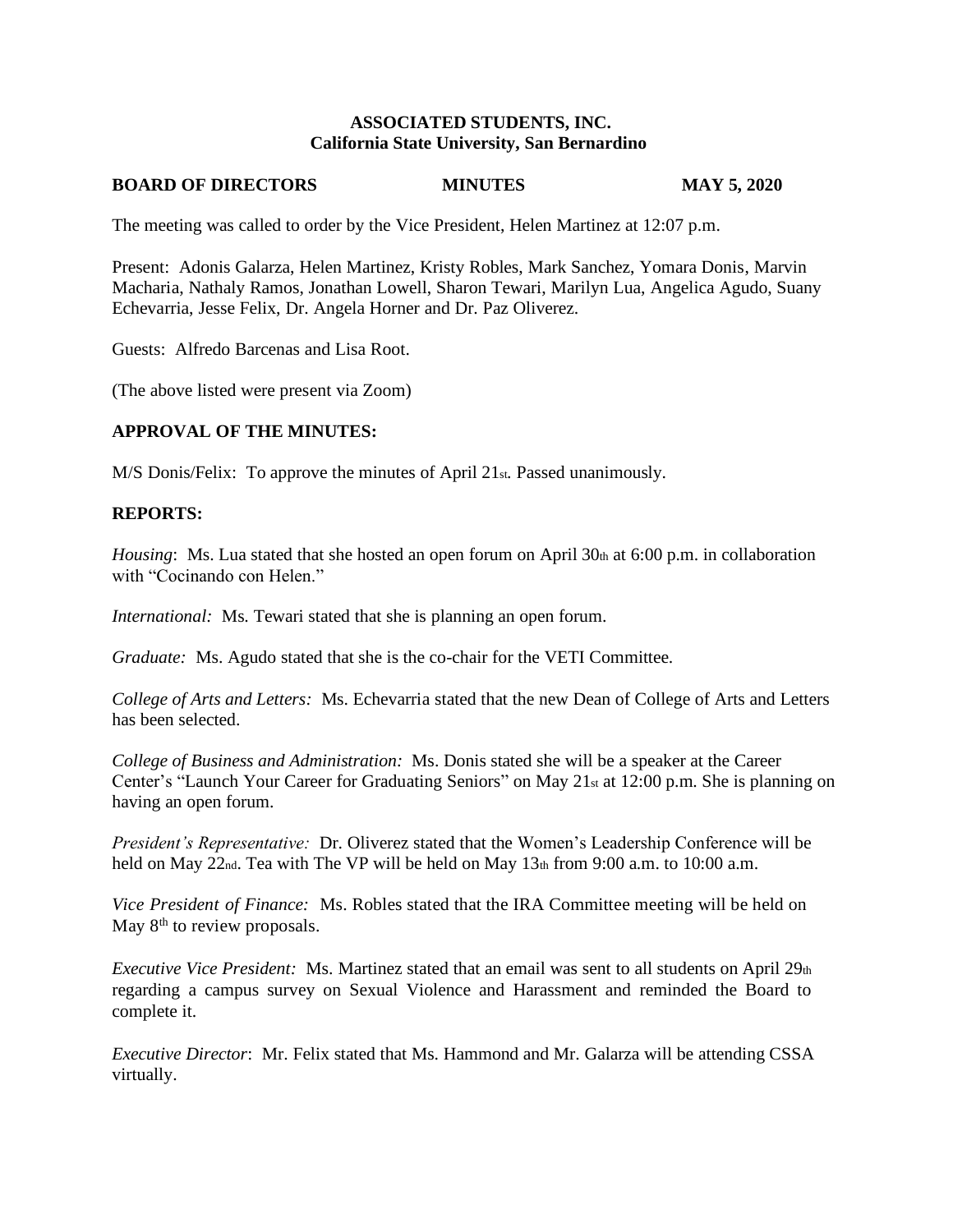#### **ASSOCIATED STUDENTS, INC. California State University, San Bernardino**

#### **BOARD OF DIRECTORS MINUTES MAY 5, 2020**

The meeting was called to order by the Vice President, Helen Martinez at 12:07 p.m.

Present: Adonis Galarza, Helen Martinez, Kristy Robles, Mark Sanchez, Yomara Donis, Marvin Macharia, Nathaly Ramos, Jonathan Lowell, Sharon Tewari, Marilyn Lua, Angelica Agudo, Suany Echevarria, Jesse Felix, Dr. Angela Horner and Dr. Paz Oliverez.

Guests: Alfredo Barcenas and Lisa Root.

(The above listed were present via Zoom)

#### **APPROVAL OF THE MINUTES:**

M/S Donis/Felix: To approve the minutes of April 21st. Passed unanimously.

#### **REPORTS:**

*Housing*: Ms. Lua stated that she hosted an open forum on April 30th at 6:00 p.m. in collaboration with "Cocinando con Helen."

*International:* Ms. Tewari stated that she is planning an open forum.

*Graduate:* Ms. Agudo stated that she is the co-chair for the VETI Committee.

*College of Arts and Letters:* Ms. Echevarria stated that the new Dean of College of Arts and Letters has been selected.

*College of Business and Administration:* Ms. Donis stated she will be a speaker at the Career Center's "Launch Your Career for Graduating Seniors" on May 21st at 12:00 p.m. She is planning on having an open forum.

*President's Representative:* Dr. Oliverez stated that the Women's Leadership Conference will be held on May 22nd. Tea with The VP will be held on May 13th from 9:00 a.m. to 10:00 a.m.

*Vice President of Finance:* Ms. Robles stated that the IRA Committee meeting will be held on May  $8<sup>th</sup>$  to review proposals.

*Executive Vice President:* Ms. Martinez stated that an email was sent to all students on April 29th regarding a campus survey on Sexual Violence and Harassment and reminded the Board to complete it.

*Executive Director*: Mr. Felix stated that Ms. Hammond and Mr. Galarza will be attending CSSA virtually.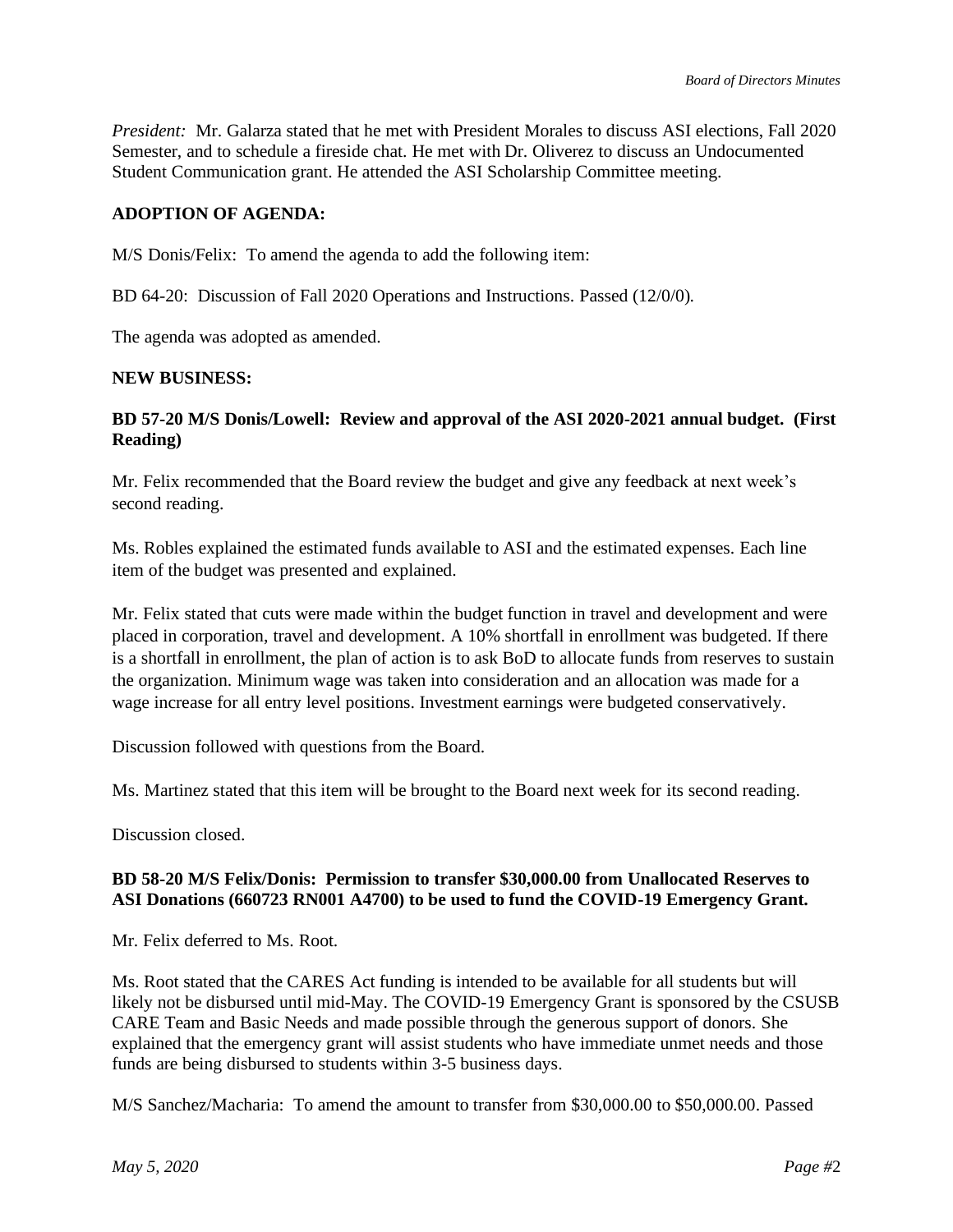*President:* Mr. Galarza stated that he met with President Morales to discuss ASI elections, Fall 2020 Semester, and to schedule a fireside chat. He met with Dr. Oliverez to discuss an Undocumented Student Communication grant. He attended the ASI Scholarship Committee meeting.

# **ADOPTION OF AGENDA:**

M/S Donis/Felix: To amend the agenda to add the following item:

BD 64-20: Discussion of Fall 2020 Operations and Instructions. Passed (12/0/0).

The agenda was adopted as amended.

#### **NEW BUSINESS:**

## **BD 57-20 M/S Donis/Lowell: Review and approval of the ASI 2020-2021 annual budget. (First Reading)**

Mr. Felix recommended that the Board review the budget and give any feedback at next week's second reading.

Ms. Robles explained the estimated funds available to ASI and the estimated expenses. Each line item of the budget was presented and explained.

Mr. Felix stated that cuts were made within the budget function in travel and development and were placed in corporation, travel and development. A 10% shortfall in enrollment was budgeted. If there is a shortfall in enrollment, the plan of action is to ask BoD to allocate funds from reserves to sustain the organization. Minimum wage was taken into consideration and an allocation was made for a wage increase for all entry level positions. Investment earnings were budgeted conservatively.

Discussion followed with questions from the Board.

Ms. Martinez stated that this item will be brought to the Board next week for its second reading.

Discussion closed.

## **BD 58-20 M/S Felix/Donis: Permission to transfer \$30,000.00 from Unallocated Reserves to ASI Donations (660723 RN001 A4700) to be used to fund the COVID-19 Emergency Grant.**

Mr. Felix deferred to Ms. Root.

Ms. Root stated that the CARES Act funding is intended to be available for all students but will likely not be disbursed until mid-May. The COVID-19 Emergency Grant is sponsored by the CSUSB CARE Team and Basic Needs and made possible through the generous support of donors. She explained that the emergency grant will assist students who have immediate unmet needs and those funds are being disbursed to students within 3-5 business days.

M/S Sanchez/Macharia: To amend the amount to transfer from \$30,000.00 to \$50,000.00. Passed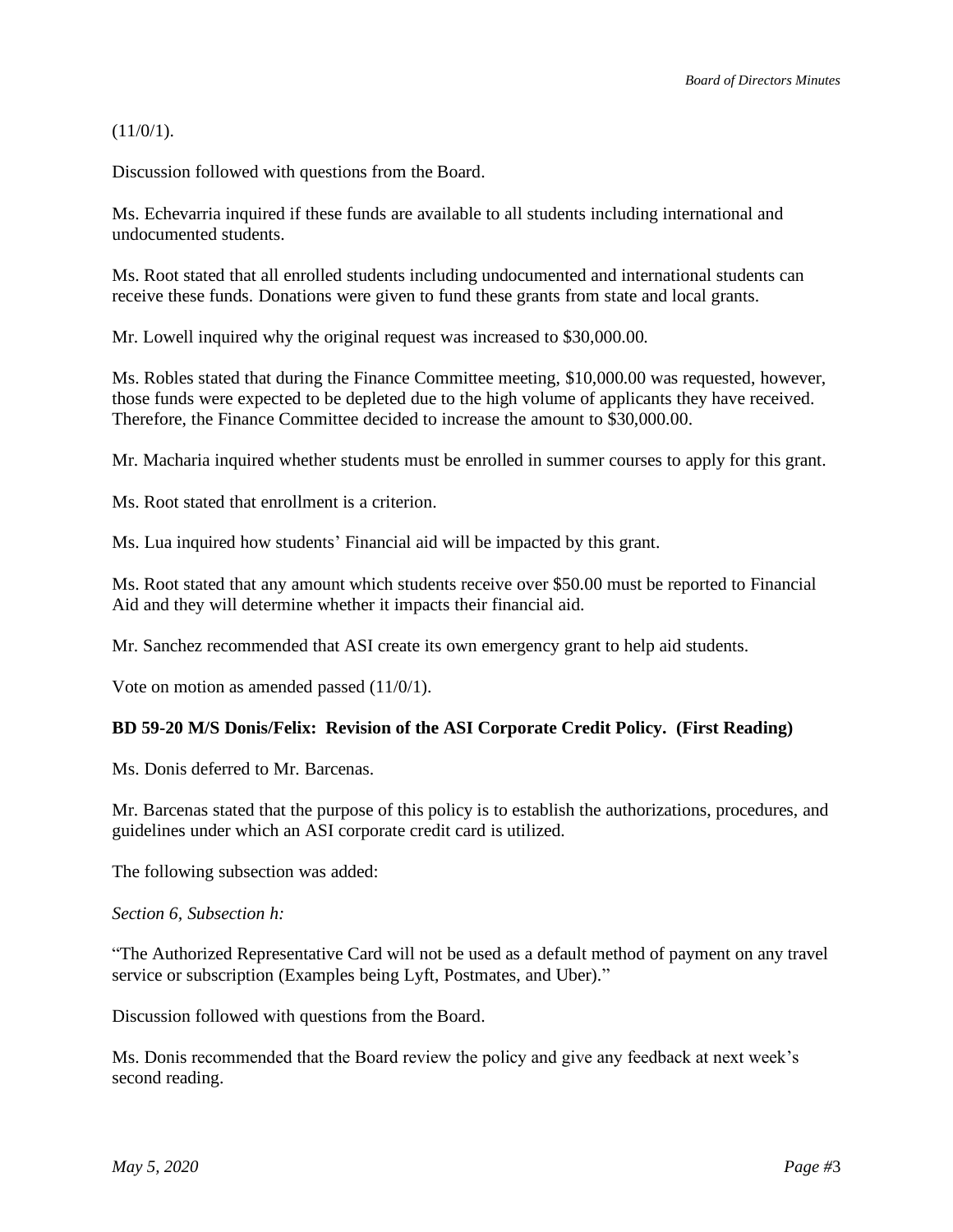$(11/0/1)$ .

Discussion followed with questions from the Board.

Ms. Echevarria inquired if these funds are available to all students including international and undocumented students.

Ms. Root stated that all enrolled students including undocumented and international students can receive these funds. Donations were given to fund these grants from state and local grants.

Mr. Lowell inquired why the original request was increased to \$30,000.00.

Ms. Robles stated that during the Finance Committee meeting, \$10,000.00 was requested, however, those funds were expected to be depleted due to the high volume of applicants they have received. Therefore, the Finance Committee decided to increase the amount to \$30,000.00.

Mr. Macharia inquired whether students must be enrolled in summer courses to apply for this grant.

Ms. Root stated that enrollment is a criterion.

Ms. Lua inquired how students' Financial aid will be impacted by this grant.

Ms. Root stated that any amount which students receive over \$50.00 must be reported to Financial Aid and they will determine whether it impacts their financial aid.

Mr. Sanchez recommended that ASI create its own emergency grant to help aid students.

Vote on motion as amended passed (11/0/1).

## **BD 59-20 M/S Donis/Felix: Revision of the ASI Corporate Credit Policy. (First Reading)**

Ms. Donis deferred to Mr. Barcenas.

Mr. Barcenas stated that the purpose of this policy is to establish the authorizations, procedures, and guidelines under which an ASI corporate credit card is utilized.

The following subsection was added:

#### *Section 6, Subsection h:*

"The Authorized Representative Card will not be used as a default method of payment on any travel service or subscription (Examples being Lyft, Postmates, and Uber)."

Discussion followed with questions from the Board.

Ms. Donis recommended that the Board review the policy and give any feedback at next week's second reading.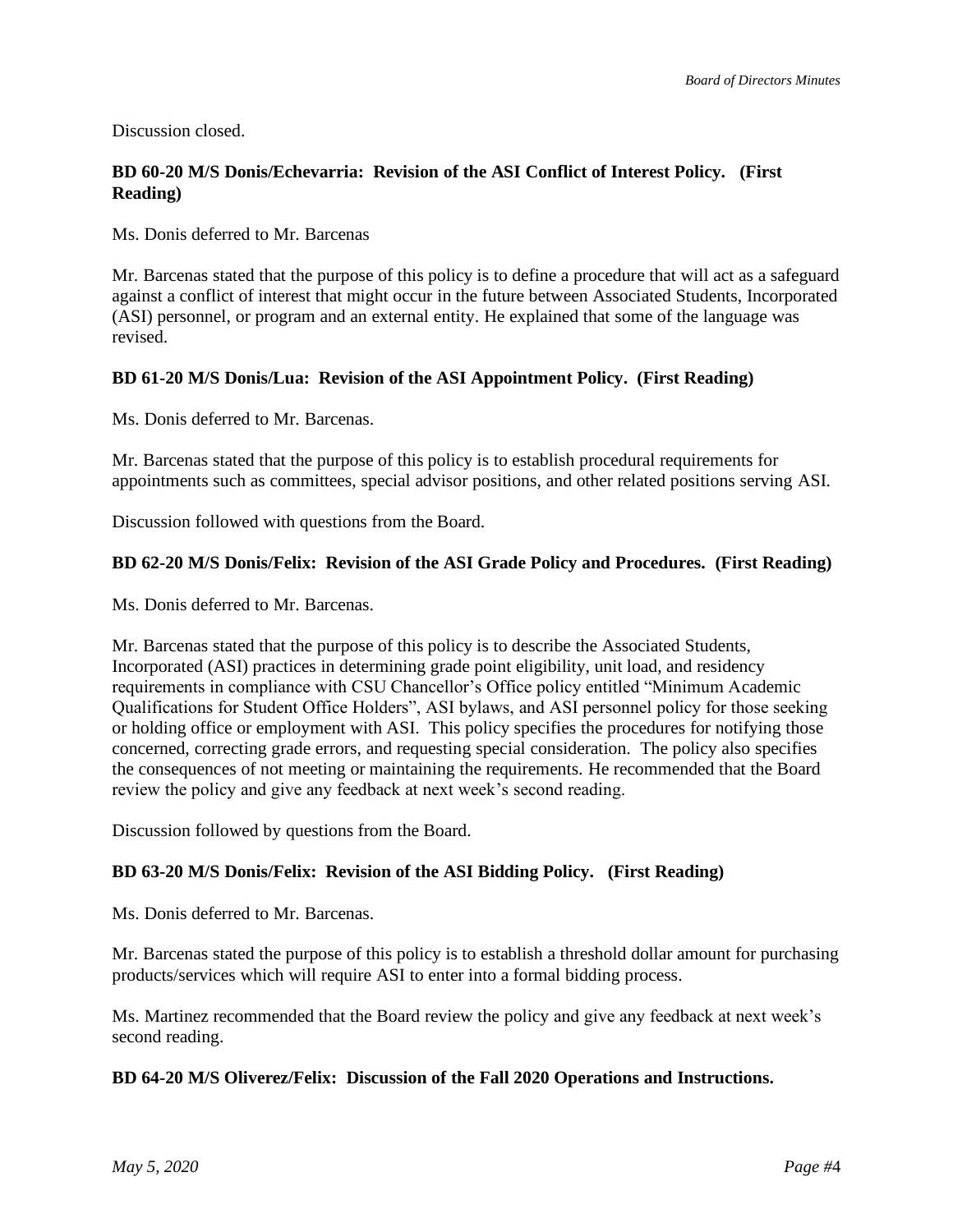Discussion closed.

# **BD 60-20 M/S Donis/Echevarria: Revision of the ASI Conflict of Interest Policy. (First Reading)**

Ms. Donis deferred to Mr. Barcenas

Mr. Barcenas stated that the purpose of this policy is to define a procedure that will act as a safeguard against a conflict of interest that might occur in the future between Associated Students, Incorporated (ASI) personnel, or program and an external entity. He explained that some of the language was revised.

## **BD 61-20 M/S Donis/Lua: Revision of the ASI Appointment Policy. (First Reading)**

Ms. Donis deferred to Mr. Barcenas.

Mr. Barcenas stated that the purpose of this policy is to establish procedural requirements for appointments such as committees, special advisor positions, and other related positions serving ASI.

Discussion followed with questions from the Board.

#### **BD 62-20 M/S Donis/Felix: Revision of the ASI Grade Policy and Procedures. (First Reading)**

Ms. Donis deferred to Mr. Barcenas.

Mr. Barcenas stated that the purpose of this policy is to describe the Associated Students, Incorporated (ASI) practices in determining grade point eligibility, unit load, and residency requirements in compliance with CSU Chancellor's Office policy entitled "Minimum Academic Qualifications for Student Office Holders", ASI bylaws, and ASI personnel policy for those seeking or holding office or employment with ASI. This policy specifies the procedures for notifying those concerned, correcting grade errors, and requesting special consideration. The policy also specifies the consequences of not meeting or maintaining the requirements. He recommended that the Board review the policy and give any feedback at next week's second reading.

Discussion followed by questions from the Board.

## **BD 63-20 M/S Donis/Felix: Revision of the ASI Bidding Policy. (First Reading)**

Ms. Donis deferred to Mr. Barcenas.

Mr. Barcenas stated the purpose of this policy is to establish a threshold dollar amount for purchasing products/services which will require ASI to enter into a formal bidding process.

Ms. Martinez recommended that the Board review the policy and give any feedback at next week's second reading.

## **BD 64-20 M/S Oliverez/Felix: Discussion of the Fall 2020 Operations and Instructions.**